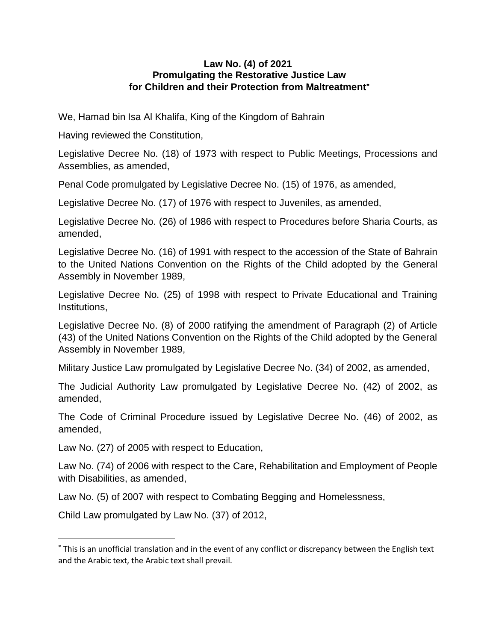#### **Law No. (4) of 2021 Promulgating the Restorative Justice Law for Children and their Protection from Maltreatment**

We, Hamad bin Isa Al Khalifa, King of the Kingdom of Bahrain

Having reviewed the Constitution,

Legislative Decree No. (18) of 1973 with respect to Public Meetings, Processions and Assemblies, as amended,

Penal Code promulgated by Legislative Decree No. (15) of 1976, as amended,

Legislative Decree No. (17) of 1976 with respect to Juveniles, as amended,

Legislative Decree No. (26) of 1986 with respect to Procedures before Sharia Courts, as amended,

Legislative Decree No. (16) of 1991 with respect to the accession of the State of Bahrain to the United Nations Convention on the Rights of the Child adopted by the General Assembly in November 1989,

Legislative Decree No. (25) of 1998 with respect to Private Educational and Training Institutions,

Legislative Decree No. (8) of 2000 ratifying the amendment of Paragraph (2) of Article (43) of the United Nations Convention on the Rights of the Child adopted by the General Assembly in November 1989,

Military Justice Law promulgated by Legislative Decree No. (34) of 2002, as amended,

The Judicial Authority Law promulgated by Legislative Decree No. (42) of 2002, as amended,

The Code of Criminal Procedure issued by Legislative Decree No. (46) of 2002, as amended,

Law No. (27) of 2005 with respect to Education,

Law No. (74) of 2006 with respect to the Care, Rehabilitation and Employment of People with Disabilities, as amended,

Law No. (5) of 2007 with respect to Combating Begging and Homelessness,

Child Law promulgated by Law No. (37) of 2012,

This is an unofficial translation and in the event of any conflict or discrepancy between the English text and the Arabic text, the Arabic text shall prevail.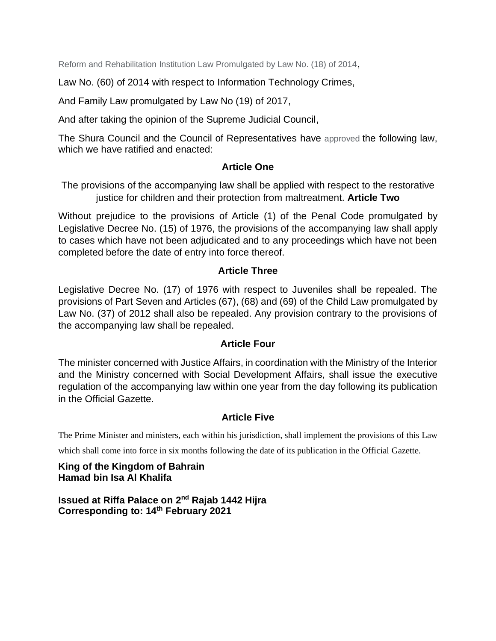Reform and Rehabilitation Institution Law Promulgated by Law No. (18) of 2014,

Law No. (60) of 2014 with respect to Information Technology Crimes,

And Family Law promulgated by Law No (19) of 2017,

And after taking the opinion of the Supreme Judicial Council,

The Shura Council and the Council of Representatives have approved the following law, which we have ratified and enacted:

#### **Article One**

The provisions of the accompanying law shall be applied with respect to the restorative justice for children and their protection from maltreatment. **Article Two**

Without prejudice to the provisions of Article (1) of the Penal Code promulgated by Legislative Decree No. (15) of 1976, the provisions of the accompanying law shall apply to cases which have not been adjudicated and to any proceedings which have not been completed before the date of entry into force thereof.

#### **Article Three**

Legislative Decree No. (17) of 1976 with respect to Juveniles shall be repealed. The provisions of Part Seven and Articles (67), (68) and (69) of the Child Law promulgated by Law No. (37) of 2012 shall also be repealed. Any provision contrary to the provisions of the accompanying law shall be repealed.

#### **Article Four**

The minister concerned with Justice Affairs, in coordination with the Ministry of the Interior and the Ministry concerned with Social Development Affairs, shall issue the executive regulation of the accompanying law within one year from the day following its publication in the Official Gazette.

#### **Article Five**

The Prime Minister and ministers, each within his jurisdiction, shall implement the provisions of this Law

which shall come into force in six months following the date of its publication in the Official Gazette.

#### **King of the Kingdom of Bahrain Hamad bin Isa Al Khalifa**

**Issued at Riffa Palace on 2<sup>nd</sup> Rajab 1442 Hijra Corresponding to: 14th February 2021**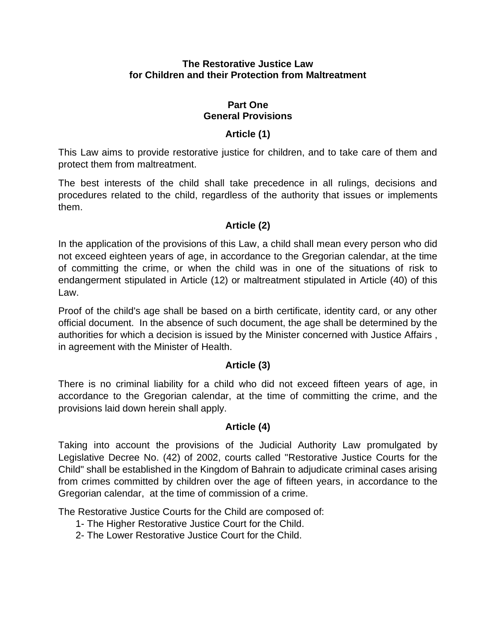#### **The Restorative Justice Law for Children and their Protection from Maltreatment**

#### **Part One General Provisions**

#### **Article (1)**

This Law aims to provide restorative justice for children, and to take care of them and protect them from maltreatment.

The best interests of the child shall take precedence in all rulings, decisions and procedures related to the child, regardless of the authority that issues or implements them.

#### **Article (2)**

In the application of the provisions of this Law, a child shall mean every person who did not exceed eighteen years of age, in accordance to the Gregorian calendar, at the time of committing the crime, or when the child was in one of the situations of risk to endangerment stipulated in Article (12) or maltreatment stipulated in Article (40) of this Law.

Proof of the child's age shall be based on a birth certificate, identity card, or any other official document. In the absence of such document, the age shall be determined by the authorities for which a decision is issued by the Minister concerned with Justice Affairs , in agreement with the Minister of Health.

#### **Article (3)**

There is no criminal liability for a child who did not exceed fifteen years of age, in accordance to the Gregorian calendar, at the time of committing the crime, and the provisions laid down herein shall apply.

#### **Article (4)**

Taking into account the provisions of the Judicial Authority Law promulgated by Legislative Decree No. (42) of 2002, courts called "Restorative Justice Courts for the Child" shall be established in the Kingdom of Bahrain to adjudicate criminal cases arising from crimes committed by children over the age of fifteen years, in accordance to the Gregorian calendar, at the time of commission of a crime.

The Restorative Justice Courts for the Child are composed of:

- 1- The Higher Restorative Justice Court for the Child.
- 2- The Lower Restorative Justice Court for the Child.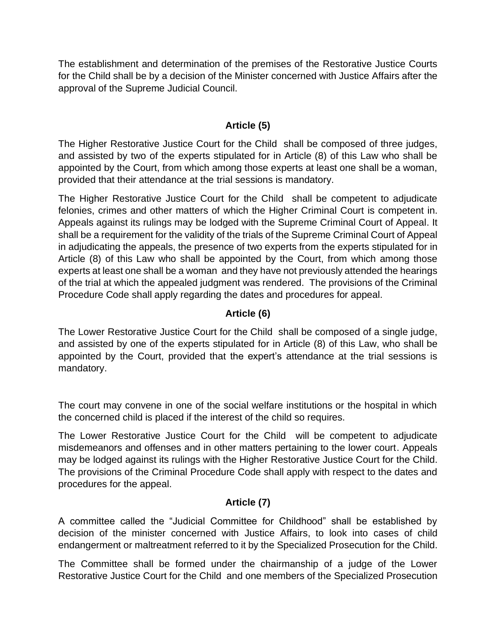The establishment and determination of the premises of the Restorative Justice Courts for the Child shall be by a decision of the Minister concerned with Justice Affairs after the approval of the Supreme Judicial Council.

#### **Article (5)**

The Higher Restorative Justice Court for the Child shall be composed of three judges, and assisted by two of the experts stipulated for in Article (8) of this Law who shall be appointed by the Court, from which among those experts at least one shall be a woman, provided that their attendance at the trial sessions is mandatory.

The Higher Restorative Justice Court for the Child shall be competent to adjudicate felonies, crimes and other matters of which the Higher Criminal Court is competent in. Appeals against its rulings may be lodged with the Supreme Criminal Court of Appeal. It shall be a requirement for the validity of the trials of the Supreme Criminal Court of Appeal in adjudicating the appeals, the presence of two experts from the experts stipulated for in Article (8) of this Law who shall be appointed by the Court, from which among those experts at least one shall be a woman and they have not previously attended the hearings of the trial at which the appealed judgment was rendered. The provisions of the Criminal Procedure Code shall apply regarding the dates and procedures for appeal.

#### **Article (6)**

The Lower Restorative Justice Court for the Child shall be composed of a single judge, and assisted by one of the experts stipulated for in Article (8) of this Law, who shall be appointed by the Court, provided that the expert's attendance at the trial sessions is mandatory.

The court may convene in one of the social welfare institutions or the hospital in which the concerned child is placed if the interest of the child so requires.

The Lower Restorative Justice Court for the Child will be competent to adjudicate misdemeanors and offenses and in other matters pertaining to the lower court. Appeals may be lodged against its rulings with the Higher Restorative Justice Court for the Child. The provisions of the Criminal Procedure Code shall apply with respect to the dates and procedures for the appeal.

#### **Article (7)**

A committee called the "Judicial Committee for Childhood" shall be established by decision of the minister concerned with Justice Affairs, to look into cases of child endangerment or maltreatment referred to it by the Specialized Prosecution for the Child.

The Committee shall be formed under the chairmanship of a judge of the Lower Restorative Justice Court for the Child and one members of the Specialized Prosecution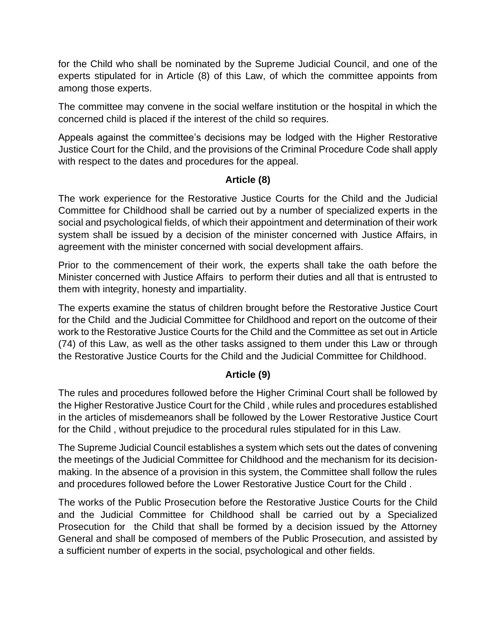for the Child who shall be nominated by the Supreme Judicial Council, and one of the experts stipulated for in Article (8) of this Law, of which the committee appoints from among those experts.

The committee may convene in the social welfare institution or the hospital in which the concerned child is placed if the interest of the child so requires.

Appeals against the committee's decisions may be lodged with the Higher Restorative Justice Court for the Child, and the provisions of the Criminal Procedure Code shall apply with respect to the dates and procedures for the appeal.

#### **Article (8)**

The work experience for the Restorative Justice Courts for the Child and the Judicial Committee for Childhood shall be carried out by a number of specialized experts in the social and psychological fields, of which their appointment and determination of their work system shall be issued by a decision of the minister concerned with Justice Affairs, in agreement with the minister concerned with social development affairs.

Prior to the commencement of their work, the experts shall take the oath before the Minister concerned with Justice Affairs to perform their duties and all that is entrusted to them with integrity, honesty and impartiality.

The experts examine the status of children brought before the Restorative Justice Court for the Child and the Judicial Committee for Childhood and report on the outcome of their work to the Restorative Justice Courts for the Child and the Committee as set out in Article (74) of this Law, as well as the other tasks assigned to them under this Law or through the Restorative Justice Courts for the Child and the Judicial Committee for Childhood.

#### **Article (9)**

The rules and procedures followed before the Higher Criminal Court shall be followed by the Higher Restorative Justice Court for the Child , while rules and procedures established in the articles of misdemeanors shall be followed by the Lower Restorative Justice Court for the Child , without prejudice to the procedural rules stipulated for in this Law.

The Supreme Judicial Council establishes a system which sets out the dates of convening the meetings of the Judicial Committee for Childhood and the mechanism for its decisionmaking. In the absence of a provision in this system, the Committee shall follow the rules and procedures followed before the Lower Restorative Justice Court for the Child .

The works of the Public Prosecution before the Restorative Justice Courts for the Child and the Judicial Committee for Childhood shall be carried out by a Specialized Prosecution for the Child that shall be formed by a decision issued by the Attorney General and shall be composed of members of the Public Prosecution, and assisted by a sufficient number of experts in the social, psychological and other fields.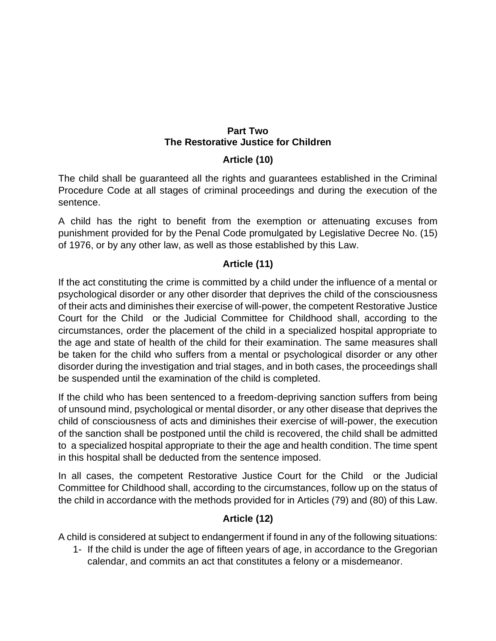#### **Part Two The Restorative Justice for Children**

### **Article (10)**

The child shall be guaranteed all the rights and guarantees established in the Criminal Procedure Code at all stages of criminal proceedings and during the execution of the sentence.

A child has the right to benefit from the exemption or attenuating excuses from punishment provided for by the Penal Code promulgated by Legislative Decree No. (15) of 1976, or by any other law, as well as those established by this Law.

### **Article (11)**

If the act constituting the crime is committed by a child under the influence of a mental or psychological disorder or any other disorder that deprives the child of the consciousness of their acts and diminishes their exercise of will-power, the competent Restorative Justice Court for the Child or the Judicial Committee for Childhood shall, according to the circumstances, order the placement of the child in a specialized hospital appropriate to the age and state of health of the child for their examination. The same measures shall be taken for the child who suffers from a mental or psychological disorder or any other disorder during the investigation and trial stages, and in both cases, the proceedings shall be suspended until the examination of the child is completed.

If the child who has been sentenced to a freedom-depriving sanction suffers from being of unsound mind, psychological or mental disorder, or any other disease that deprives the child of consciousness of acts and diminishes their exercise of will-power, the execution of the sanction shall be postponed until the child is recovered, the child shall be admitted to a specialized hospital appropriate to their the age and health condition. The time spent in this hospital shall be deducted from the sentence imposed.

In all cases, the competent Restorative Justice Court for the Child or the Judicial Committee for Childhood shall, according to the circumstances, follow up on the status of the child in accordance with the methods provided for in Articles (79) and (80) of this Law.

#### **Article (12)**

A child is considered at subject to endangerment if found in any of the following situations:

1- If the child is under the age of fifteen years of age, in accordance to the Gregorian calendar, and commits an act that constitutes a felony or a misdemeanor.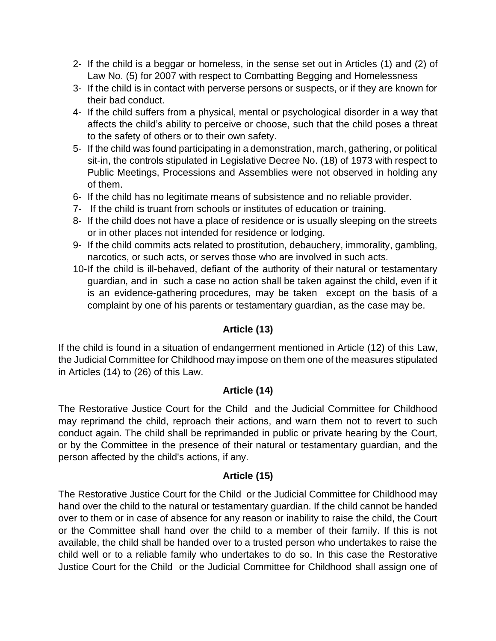- 2- If the child is a beggar or homeless, in the sense set out in Articles (1) and (2) of Law No. (5) for 2007 with respect to Combatting Begging and Homelessness
- 3- If the child is in contact with perverse persons or suspects, or if they are known for their bad conduct.
- 4- If the child suffers from a physical, mental or psychological disorder in a way that affects the child's ability to perceive or choose, such that the child poses a threat to the safety of others or to their own safety.
- 5- If the child was found participating in a demonstration, march, gathering, or political sit-in, the controls stipulated in Legislative Decree No. (18) of 1973 with respect to Public Meetings, Processions and Assemblies were not observed in holding any of them.
- 6- If the child has no legitimate means of subsistence and no reliable provider.
- 7- If the child is truant from schools or institutes of education or training.
- 8- If the child does not have a place of residence or is usually sleeping on the streets or in other places not intended for residence or lodging.
- 9- If the child commits acts related to prostitution, debauchery, immorality, gambling, narcotics, or such acts, or serves those who are involved in such acts.
- 10-If the child is ill-behaved, defiant of the authority of [their](https://context.reverso.net/translation/english-arabic/their) natural or testamentary guardian, and in such a case no action shall be taken against the child, even if it is an evidence-gathering procedures, may be taken except on the basis of a complaint by one of his parents or testamentary guardian, as the case may be.

# **Article (13)**

If the child is found in a situation of endangerment mentioned in Article (12) of this Law, the Judicial Committee for Childhood may impose on them one of the measures stipulated in Articles (14) to (26) of this Law.

# **Article (14)**

The Restorative Justice Court for the Child and the Judicial Committee for Childhood may reprimand the child, reproach their actions, and warn them not to revert to such conduct again. The child shall be reprimanded in public or private hearing by the Court, or by the Committee in the presence of their natural or testamentary guardian, and the person affected by the child's actions, if any.

#### **Article (15)**

The Restorative Justice Court for the Child or the Judicial Committee for Childhood may hand over the child to the natural or testamentary guardian. If the child cannot be handed over to them or in case of absence for any reason or inability to raise the child, the Court or the Committee shall hand over the child to a member of their family. If this is not available, the child shall be handed over to a trusted person who undertakes to raise the child well or to a reliable family who undertakes to do so. In this case the Restorative Justice Court for the Child or the Judicial Committee for Childhood shall assign one of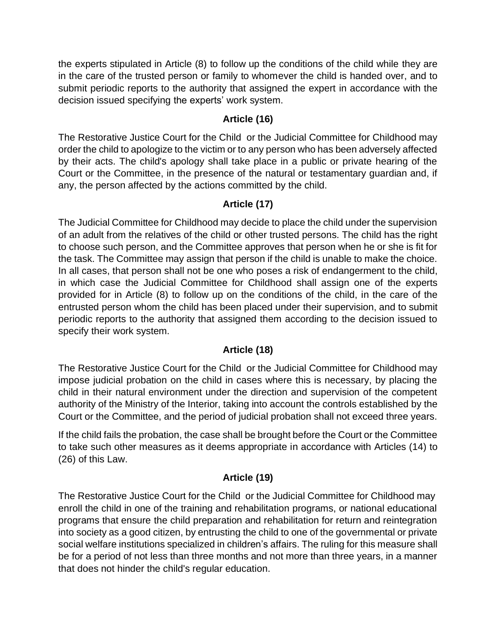the experts stipulated in Article (8) to follow up the conditions of the child while they are in the care of the trusted person or family to whomever the child is handed over, and to submit periodic reports to the authority that assigned the expert in accordance with the decision issued specifying the experts' work system.

### **Article (16)**

The Restorative Justice Court for the Child or the Judicial Committee for Childhood may order the child to apologize to the victim or to any person who has been adversely affected by their acts. The child's apology shall take place in a public or private hearing of the Court or the Committee, in the presence of the natural or testamentary guardian and, if any, the person affected by the actions committed by the child.

# **Article (17)**

The Judicial Committee for Childhood may decide to place the child under the supervision of an adult from the relatives of the child or other trusted persons. The child has the right to choose such person, and the Committee approves that person when he or she is fit for the task. The Committee may assign that person if the child is unable to make the choice. In all cases, that person shall not be one who poses a risk of endangerment to the child, in which case the Judicial Committee for Childhood shall assign one of the experts provided for in Article (8) to follow up on the conditions of the child, in the care of the entrusted person whom the child has been placed under their supervision, and to submit periodic reports to the authority that assigned them according to the decision issued to specify their work system.

# **Article (18)**

The Restorative Justice Court for the Child or the Judicial Committee for Childhood may impose judicial probation on the child in cases where this is necessary, by placing the child in their natural environment under the direction and supervision of the competent authority of the Ministry of the Interior, taking into account the controls established by the Court or the Committee, and the period of judicial probation shall not exceed three years.

If the child fails the probation, the case shall be brought before the Court or the Committee to take such other measures as it deems appropriate in accordance with Articles (14) to (26) of this Law.

# **Article (19)**

The Restorative Justice Court for the Child or the Judicial Committee for Childhood may enroll the child in one of the training and rehabilitation programs, or national educational programs that ensure the child preparation and rehabilitation for return and reintegration into society as a good citizen, by entrusting the child to one of the governmental or private social welfare institutions specialized in children's affairs. The ruling for this measure shall be for a period of not less than three months and not more than three years, in a manner that does not hinder the child's regular education.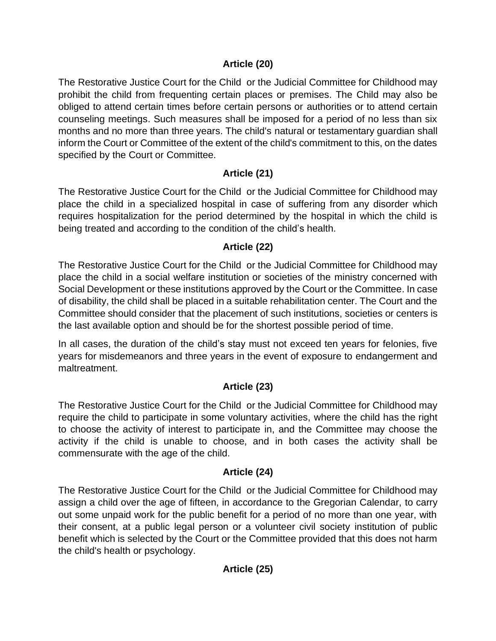### **Article (20)**

The Restorative Justice Court for the Child or the Judicial Committee for Childhood may prohibit the child from frequenting certain places or premises. The Child may also be obliged to attend certain times before certain persons or authorities or to attend certain counseling meetings. Such measures shall be imposed for a period of no less than six months and no more than three years. The child's natural or testamentary guardian shall inform the Court or Committee of the extent of the child's commitment to this, on the dates specified by the Court or Committee.

### **Article (21)**

The Restorative Justice Court for the Child or the Judicial Committee for Childhood may place the child in a specialized hospital in case of suffering from any disorder which requires hospitalization for the period determined by the hospital in which the child is being treated and according to the condition of the child's health.

### **Article (22)**

The Restorative Justice Court for the Child or the Judicial Committee for Childhood may place the child in a social welfare institution or societies of the ministry concerned with Social Development or these institutions approved by the Court or the Committee. In case of disability, the child shall be placed in a suitable rehabilitation center. The Court and the Committee should consider that the placement of such institutions, societies or centers is the last available option and should be for the shortest possible period of time.

In all cases, the duration of the child's stay must not exceed ten years for felonies, five years for misdemeanors and three years in the event of exposure to endangerment and maltreatment.

# **Article (23)**

The Restorative Justice Court for the Child or the Judicial Committee for Childhood may require the child to participate in some voluntary activities, where the child has the right to choose the activity of interest to participate in, and the Committee may choose the activity if the child is unable to choose, and in both cases the activity shall be commensurate with the age of the child.

# **Article (24)**

The Restorative Justice Court for the Child or the Judicial Committee for Childhood may assign a child over the age of fifteen, in accordance to the Gregorian Calendar, to carry out some unpaid work for the public benefit for a period of no more than one year, with their consent, at a public legal person or a volunteer civil society institution of public benefit which is selected by the Court or the Committee provided that this does not harm the child's health or psychology.

# **Article (25)**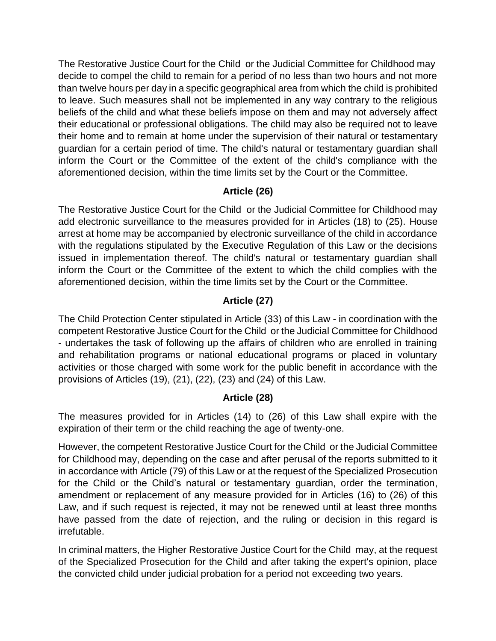The Restorative Justice Court for the Child or the Judicial Committee for Childhood may decide to compel the child to remain for a period of no less than two hours and not more than twelve hours per day in a specific geographical area from which the child is prohibited to leave. Such measures shall not be implemented in any way contrary to the religious beliefs of the child and what these beliefs impose on them and may not adversely affect their educational or professional obligations. The child may also be required not to leave their home and to remain at home under the supervision of their natural or testamentary guardian for a certain period of time. The child's natural or testamentary guardian shall inform the Court or the Committee of the extent of the child's compliance with the aforementioned decision, within the time limits set by the Court or the Committee.

# **Article (26)**

The Restorative Justice Court for the Child or the Judicial Committee for Childhood may add electronic surveillance to the measures provided for in Articles (18) to (25). House arrest at home may be accompanied by electronic surveillance of the child in accordance with the regulations stipulated by the Executive Regulation of this Law or the decisions issued in implementation thereof. The child's natural or testamentary guardian shall inform the Court or the Committee of the extent to which the child complies with the aforementioned decision, within the time limits set by the Court or the Committee.

# **Article (27)**

The Child Protection Center stipulated in Article (33) of this Law - in coordination with the competent Restorative Justice Court for the Child or the Judicial Committee for Childhood - undertakes the task of following up the affairs of children who are enrolled in training and rehabilitation programs or national educational programs or placed in voluntary activities or those charged with some work for the public benefit in accordance with the provisions of Articles (19), (21), (22), (23) and (24) of this Law.

# **Article (28)**

The measures provided for in Articles (14) to (26) of this Law shall expire with the expiration of their term or the child reaching the age of twenty-one.

However, the competent Restorative Justice Court for the Child or the Judicial Committee for Childhood may, depending on the case and after perusal of the reports submitted to it in accordance with Article (79) of this Law or at the request of the Specialized Prosecution for the Child or the Child's natural or testamentary guardian, order the termination, amendment or replacement of any measure provided for in Articles (16) to (26) of this Law, and if such request is rejected, it may not be renewed until at least three months have passed from the date of rejection, and the ruling or decision in this regard is [irrefutable.](https://en.bab.la/dictionary/english-arabic/irrefutable)

In criminal matters, the Higher Restorative Justice Court for the Child may, at the request of the Specialized Prosecution for the Child and after taking the expert's opinion, place the convicted child under judicial probation for a period not exceeding two years.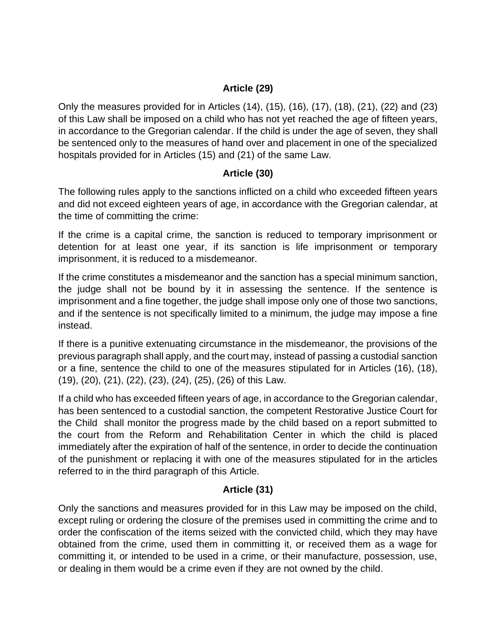### **Article (29)**

Only the measures provided for in Articles (14), (15), (16), (17), (18), (21), (22) and (23) of this Law shall be imposed on a child who has not yet reached the age of fifteen years, in accordance to the Gregorian calendar. If the child is under the age of seven, they shall be sentenced only to the measures of hand over and placement in one of the specialized hospitals provided for in Articles (15) and (21) of the same Law.

#### **Article (30)**

The following rules apply to the sanctions inflicted on a child who exceeded fifteen years and did not exceed eighteen years of age, in accordance with the Gregorian calendar, at the time of committing the crime:

If the crime is a capital crime, the sanction is reduced to temporary imprisonment or detention for at least one year, if its sanction is life imprisonment or temporary imprisonment, it is reduced to a misdemeanor.

If the crime constitutes a misdemeanor and the sanction has a special minimum sanction, the judge shall not be bound by it in assessing the sentence. If the sentence is imprisonment and a fine together, the judge shall impose only one of those two sanctions, and if the sentence is not specifically limited to a minimum, the judge may impose a fine instead.

If there is a punitive extenuating circumstance in the misdemeanor, the provisions of the previous paragraph shall apply, and the court may, instead of passing a custodial sanction or a fine, sentence the child to one of the measures stipulated for in Articles (16), (18), (19), (20), (21), (22), (23), (24), (25), (26) of this Law.

If a child who has exceeded fifteen years of age, in accordance to the Gregorian calendar, has been sentenced to a custodial sanction, the competent Restorative Justice Court for the Child shall monitor the progress made by the child based on a report submitted to the court from the Reform and Rehabilitation Center in which the child is placed immediately after the expiration of half of the sentence, in order to decide the continuation of the punishment or replacing it with one of the measures stipulated for in the articles referred to in the third paragraph of this Article.

#### **Article (31)**

Only the sanctions and measures provided for in this Law may be imposed on the child, except ruling or ordering the closure of the premises used in committing the crime and to order the confiscation of the items seized with the convicted child, which they may have obtained from the crime, used them in committing it, or received them as a wage for committing it, or intended to be used in a crime, or their manufacture, possession, use, or dealing in them would be a crime even if they are not owned by the child.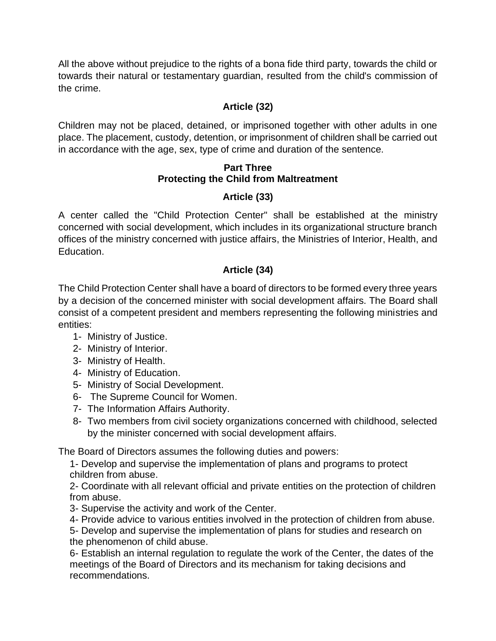All the above without prejudice to the rights of a bona fide third party, towards the child or towards their natural or testamentary guardian, resulted from the child's commission of the crime.

### **Article (32)**

Children may not be placed, detained, or imprisoned together with other adults in one place. The placement, custody, detention, or imprisonment of children shall be carried out in accordance with the age, sex, type of crime and duration of the sentence.

#### **Part Three Protecting the Child from Maltreatment**

### **Article (33)**

A center called the "Child Protection Center" shall be established at the ministry concerned with social development, which includes in its organizational structure branch offices of the ministry concerned with justice affairs, the Ministries of Interior, Health, and Education.

# **Article (34)**

The Child Protection Center shall have a board of directors to be formed every three years by a decision of the concerned minister with social development affairs. The Board shall consist of a competent president and members representing the following ministries and entities:

- 1- Ministry of Justice.
- 2- Ministry of Interior.
- 3- Ministry of Health.
- 4- Ministry of Education.
- 5- Ministry of Social Development.
- 6- The Supreme Council for Women.
- 7- The Information Affairs Authority.
- 8- Two members from civil society organizations concerned with childhood, selected by the minister concerned with social development affairs.

The Board of Directors assumes the following duties and powers :

1- Develop and supervise the implementation of plans and programs to protect children from abuse.

2- Coordinate with all relevant official and private entities on the protection of children from abuse.

- 3- Supervise the activity and work of the Center.
- 4- Provide advice to various entities involved in the protection of children from abuse.

5- Develop and supervise the implementation of plans for studies and research on the phenomenon of child abuse.

6- Establish an internal regulation to regulate the work of the Center, the dates of the meetings of the Board of Directors and its mechanism for taking decisions and recommendations.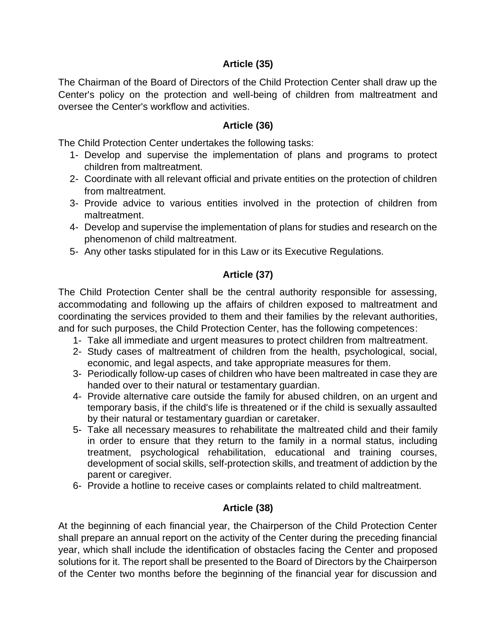### **Article (35)**

The Chairman of the Board of Directors of the Child Protection Center shall draw up the Center's policy on the protection and well-being of children from maltreatment and oversee the Center's workflow and activities.

#### **Article (36)**

The Child Protection Center undertakes the following tasks:

- 1- Develop and supervise the implementation of plans and programs to protect children from maltreatment.
- 2- Coordinate with all relevant official and private entities on the protection of children from maltreatment.
- 3- Provide advice to various entities involved in the protection of children from maltreatment.
- 4- Develop and supervise the implementation of plans for studies and research on the phenomenon of child maltreatment.
- 5- Any other tasks stipulated for in this Law or its Executive Regulations.

#### **Article (37)**

The Child Protection Center shall be the central authority responsible for assessing, accommodating and following up the affairs of children exposed to maltreatment and coordinating the services provided to them and their families by the relevant authorities, and for such purposes, the Child Protection Center, has the following competences:

- 1- Take all immediate and urgent measures to protect children from maltreatment.
- 2- Study cases of maltreatment of children from the health, psychological, social, economic, and legal aspects, and take appropriate measures for them.
- 3- Periodically follow-up cases of children who have been maltreated in case they are handed over to their natural or testamentary guardian.
- 4- Provide alternative care outside the family for abused children, on an urgent and temporary basis, if the child's life is threatened or if the child is sexually assaulted by their natural or testamentary guardian or caretaker.
- 5- Take all necessary measures to rehabilitate the maltreated child and their family in order to ensure that they return to the family in a normal status, including treatment, psychological rehabilitation, educational and training courses, development of social skills, self-protection skills, and treatment of addiction by the parent or caregiver.
- 6- Provide a hotline to receive cases or complaints related to child maltreatment.

#### **Article (38)**

At the beginning of each financial year, the Chairperson of the Child Protection Center shall prepare an annual report on the activity of the Center during the preceding financial year, which shall include the identification of obstacles facing the Center and proposed solutions for it. The report shall be presented to the Board of Directors by the Chairperson of the Center two months before the beginning of the financial year for discussion and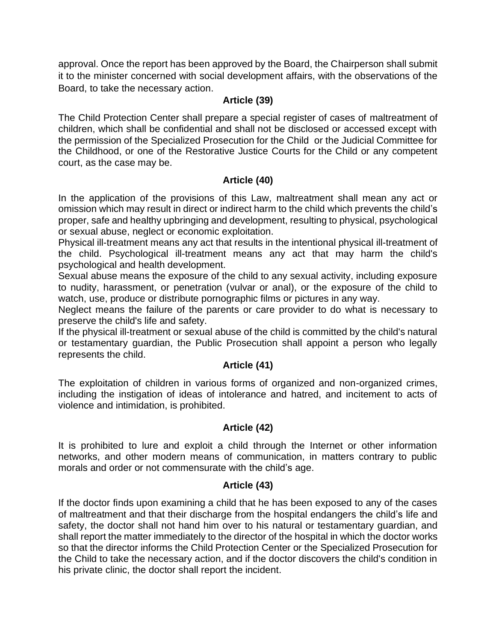approval. Once the report has been approved by the Board, the Chairperson shall submit it to the minister concerned with social development affairs, with the observations of the Board, to take the necessary action.

#### **Article (39)**

The Child Protection Center shall prepare a special register of cases of maltreatment of children, which shall be confidential and shall not be disclosed or accessed except with the permission of the Specialized Prosecution for the Child or the Judicial Committee for the Childhood, or one of the Restorative Justice Courts for the Child or any competent court, as the case may be.

#### **Article (40)**

In the application of the provisions of this Law, maltreatment shall mean any act or omission which may result in direct or indirect harm to the child which prevents the child's proper, safe and healthy upbringing and development, resulting to physical, psychological or sexual abuse, neglect or economic exploitation.

Physical ill-treatment means any act that results in the intentional physical ill-treatment of the child. Psychological ill-treatment means any act that may harm the child's psychological and health development.

Sexual abuse means the exposure of the child to any sexual activity, including exposure to nudity, harassment, or penetration (vulvar or anal), or the exposure of the child to watch, use, produce or distribute pornographic films or pictures in any way.

Neglect means the failure of the parents or care provider to do what is necessary to preserve the child's life and safety.

If the physical ill-treatment or sexual abuse of the child is committed by the child's natural or testamentary guardian, the Public Prosecution shall appoint a person who legally represents the child.

#### **Article (41)**

The exploitation of children in various forms of organized and non-organized crimes, including the instigation of ideas of intolerance and hatred, and incitement to acts of violence and intimidation, is prohibited.

#### **Article (42)**

It is prohibited to lure and exploit a child through the Internet or other information networks, and other modern means of communication, in matters contrary to public morals and order or not commensurate with the child's age.

#### **Article (43)**

If the doctor finds upon examining a child that he has been exposed to any of the cases of maltreatment and that their discharge from the hospital endangers the child's life and safety, the doctor shall not hand him over to his natural or testamentary guardian, and shall report the matter immediately to the director of the hospital in which the doctor works so that the director informs the Child Protection Center or the Specialized Prosecution for the Child to take the necessary action, and if the doctor discovers the child's condition in his private clinic, the doctor shall report the incident.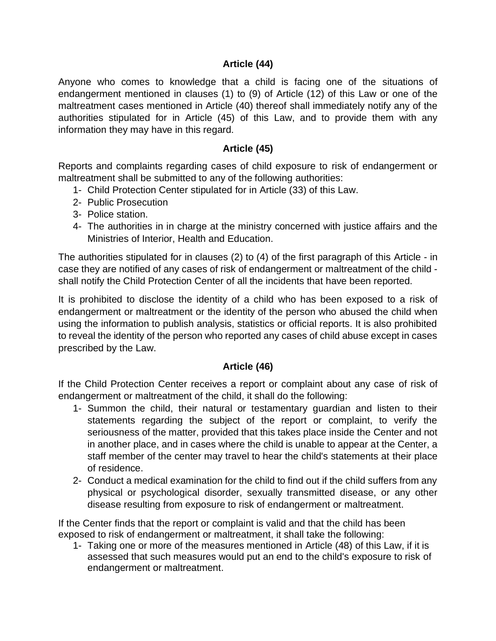#### **Article (44)**

Anyone who comes to knowledge that a child is facing one of the situations of endangerment mentioned in clauses (1) to (9) of Article (12) of this Law or one of the maltreatment cases mentioned in Article (40) thereof shall immediately notify any of the authorities stipulated for in Article (45) of this Law, and to provide them with any information they may have in this regard.

#### **Article (45)**

Reports and complaints regarding cases of child exposure to risk of endangerment or maltreatment shall be submitted to any of the following authorities:

- 1- Child Protection Center stipulated for in Article (33) of this Law.
- 2- Public Prosecution
- 3- Police station.
- 4- The authorities in in charge at the ministry concerned with justice affairs and the Ministries of Interior, Health and Education.

The authorities stipulated for in clauses (2) to (4) of the first paragraph of this Article - in case they are notified of any cases of risk of endangerment or maltreatment of the child shall notify the Child Protection Center of all the incidents that have been reported.

It is prohibited to disclose the identity of a child who has been exposed to a risk of endangerment or maltreatment or the identity of the person who abused the child when using the information to publish analysis, statistics or official reports. It is also prohibited to reveal the identity of the person who reported any cases of child abuse except in cases prescribed by the Law.

#### **Article (46)**

If the Child Protection Center receives a report or complaint about any case of risk of endangerment or maltreatment of the child, it shall do the following:

- 1- Summon the child, their natural or testamentary guardian and listen to their statements regarding the subject of the report or complaint, to verify the seriousness of the matter, provided that this takes place inside the Center and not in another place, and in cases where the child is unable to appear at the Center, a staff member of the center may travel to hear the child's statements at their place of residence.
- 2- Conduct a medical examination for the child to find out if the child suffers from any physical or psychological disorder, sexually transmitted disease, or any other disease resulting from exposure to risk of endangerment or maltreatment.

If the Center finds that the report or complaint is valid and that the child has been exposed to risk of endangerment or maltreatment, it shall take the following:

1- Taking one or more of the measures mentioned in Article (48) of this Law, if it is assessed that such measures would put an end to the child's exposure to risk of endangerment or maltreatment.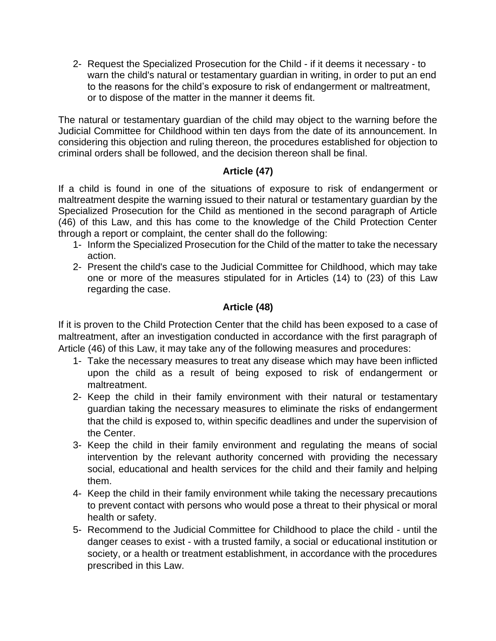2- Request the Specialized Prosecution for the Child - if it deems it necessary - to warn the child's natural or testamentary guardian in writing, in order to put an end to the reasons for the child's exposure to risk of endangerment or maltreatment, or to dispose of the matter in the manner it deems fit.

The natural or testamentary guardian of the child may object to the warning before the Judicial Committee for Childhood within ten days from the date of its announcement. In considering this objection and ruling thereon, the procedures established for objection to criminal orders shall be followed, and the decision thereon shall be final.

#### **Article (47)**

If a child is found in one of the situations of exposure to risk of endangerment or maltreatment despite the warning issued to their natural or testamentary guardian by the Specialized Prosecution for the Child as mentioned in the second paragraph of Article (46) of this Law, and this has come to the knowledge of the Child Protection Center through a report or complaint, the center shall do the following:

- 1- Inform the Specialized Prosecution for the Child of the matter to take the necessary action.
- 2- Present the child's case to the Judicial Committee for Childhood, which may take one or more of the measures stipulated for in Articles (14) to (23) of this Law regarding the case.

#### **Article (48)**

If it is proven to the Child Protection Center that the child has been exposed to a case of maltreatment, after an investigation conducted in accordance with the first paragraph of Article (46) of this Law, it may take any of the following measures and procedures :

- 1- Take the necessary measures to treat any disease which may have been inflicted upon the child as a result of being exposed to risk of endangerment or maltreatment.
- 2- Keep the child in their family environment with their natural or testamentary guardian taking the necessary measures to eliminate the risks of endangerment that the child is exposed to, within specific deadlines and under the supervision of the Center.
- 3- Keep the child in their family environment and regulating the means of social intervention by the relevant authority concerned with providing the necessary social, educational and health services for the child and their family and helping them.
- 4- Keep the child in their family environment while taking the necessary precautions to prevent contact with persons who would pose a threat to their physical or moral health or safety.
- 5- Recommend to the Judicial Committee for Childhood to place the child until the danger ceases to exist - with a trusted family, a social or educational institution or society, or a health or treatment establishment, in accordance with the procedures prescribed in this Law.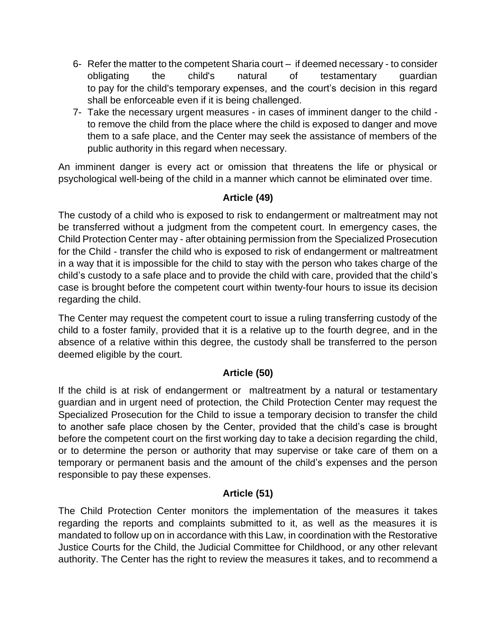- 6- Refer the matter to the competent Sharia court if deemed necessary to consider obligating the child's natural of testamentary guardian to pay for the child's temporary expenses, and the court's decision in this regard shall be enforceable even if it is being challenged.
- 7- Take the necessary urgent measures in cases of imminent danger to the child to remove the child from the place where the child is exposed to danger and move them to a safe place, and the Center may seek the assistance of members of the public authority in this regard when necessary.

An imminent danger is every act or omission that threatens the life or physical or psychological well-being of the child in a manner which cannot be eliminated over time.

### **Article (49)**

The custody of a child who is exposed to risk to endangerment or maltreatment may not be transferred without a judgment from the competent court. In emergency cases, the Child Protection Center may - after obtaining permission from the Specialized Prosecution for the Child - transfer the child who is exposed to risk of endangerment or maltreatment in a way that it is impossible for the child to stay with the person who takes charge of the child's custody to a safe place and to provide the child with care, provided that the child's case is brought before the competent court within twenty-four hours to issue its decision regarding the child.

The Center may request the competent court to issue a ruling transferring custody of the child to a foster family, provided that it is a relative up to the fourth degree, and in the absence of a relative within this degree, the custody shall be transferred to the person deemed eligible by the court.

#### **Article (50)**

If the child is at risk of endangerment or maltreatment by a natural or testamentary guardian and in urgent need of protection, the Child Protection Center may request the Specialized Prosecution for the Child to issue a temporary decision to transfer the child to another safe place chosen by the Center, provided that the child's case is brought before the competent court on the first working day to take a decision regarding the child, or to determine the person or authority that may supervise or take care of them on a temporary or permanent basis and the amount of the child's expenses and the person responsible to pay these expenses.

# **Article (51)**

The Child Protection Center monitors the implementation of the measures it takes regarding the reports and complaints submitted to it, as well as the measures it is mandated to follow up on in accordance with this Law, in coordination with the Restorative Justice Courts for the Child, the Judicial Committee for Childhood, or any other relevant authority. The Center has the right to review the measures it takes, and to recommend a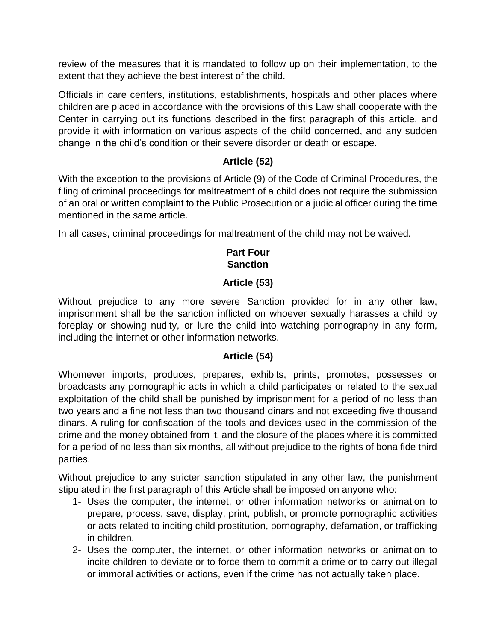review of the measures that it is mandated to follow up on their implementation, to the extent that they achieve the best interest of the child.

Officials in care centers, institutions, establishments, hospitals and other places where children are placed in accordance with the provisions of this Law shall cooperate with the Center in carrying out its functions described in the first paragraph of this article, and provide it with information on various aspects of the child concerned, and any sudden change in the child's condition or their severe disorder or death or escape.

### **Article (52)**

With the exception to the provisions of Article (9) of the Code of Criminal Procedures, the filing of criminal proceedings for maltreatment of a child does not require the submission of an oral or written complaint to the Public Prosecution or a judicial officer during the time mentioned in the same article.

In all cases, criminal proceedings for maltreatment of the child may not be waived.

### **Part Four Sanction**

### **Article (53)**

Without prejudice to any more severe Sanction provided for in any other law, imprisonment shall be the sanction inflicted on whoever sexually harasses a child by foreplay or showing nudity, or lure the child into watching pornography in any form, including the internet or other information networks.

#### **Article (54)**

Whomever imports, produces, prepares, exhibits, prints, promotes, possesses or broadcasts any pornographic acts in which a child participates or related to the sexual exploitation of the child shall be punished by imprisonment for a period of no less than two years and a fine not less than two thousand dinars and not exceeding five thousand dinars. A ruling for confiscation of the tools and devices used in the commission of the crime and the money obtained from it, and the closure of the places where it is committed for a period of no less than six months, all without prejudice to the rights of bona fide third parties .

Without prejudice to any stricter sanction stipulated in any other law, the punishment stipulated in the first paragraph of this Article shall be imposed on anyone who:

- 1- Uses the computer, the internet, or other information networks or animation to prepare, process, save, display, print, publish, or promote pornographic activities or acts related to inciting child prostitution, pornography, defamation, or trafficking in children.
- 2- Uses the computer, the internet, or other information networks or animation to incite children to deviate or to force them to commit a crime or to carry out illegal or immoral activities or actions, even if the crime has not actually taken place.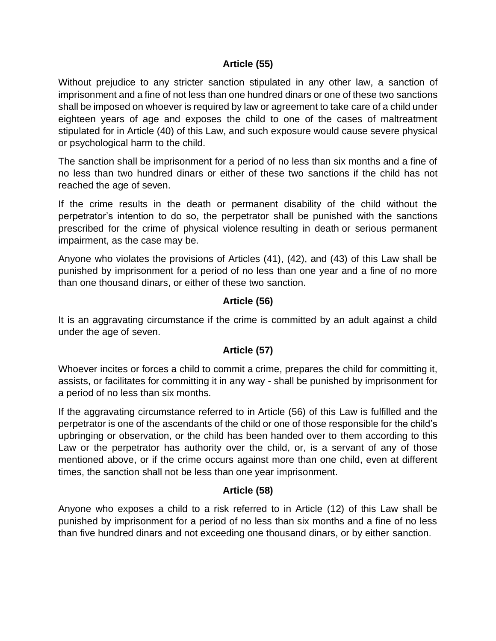#### **Article (55)**

Without prejudice to any stricter sanction stipulated in any other law, a sanction of imprisonment and a fine of not less than one hundred dinars or one of these two sanctions shall be imposed on whoever is required by law or agreement to take care of a child under eighteen years of age and exposes the child to one of the cases of maltreatment stipulated for in Article (40) of this Law, and such exposure would cause severe physical or psychological harm to the child.

The sanction shall be imprisonment for a period of no less than six months and a fine of no less than two hundred dinars or either of these two sanctions if the child has not reached the age of seven.

If the crime results in the death or permanent disability of the child without the perpetrator's intention to do so, the perpetrator shall be punished with the sanctions prescribed for the crime of physical violence [resulting in death](https://context.reverso.net/translation/english-arabic/resulting+in+death) or serious permanent impairment, as the case may be.

Anyone who violates the provisions of Articles (41), (42), and (43) of this Law shall be punished by imprisonment for a period of no less than one year and a fine of no more than one thousand dinars, or either of these two sanction.

#### **Article (56)**

It is an aggravating circumstance if the crime is committed by an adult against a child under the age of seven.

#### **Article (57)**

Whoever incites or forces a child to commit a crime, prepares the child for committing it, assists, or facilitates for committing it in any way - shall be punished by imprisonment for a period of no less than six months.

If the aggravating circumstance referred to in Article (56) of this Law is fulfilled and the perpetrator is one of the ascendants of the child or one of those responsible for the child's upbringing or observation, or the child has been handed over to them according to this Law or the perpetrator has authority over the child, or, is a servant of any of those mentioned above, or if the crime occurs against more than one child, even at different times, the sanction shall not be less than one year imprisonment.

#### **Article (58)**

Anyone who exposes a child to a risk referred to in Article (12) of this Law shall be punished by imprisonment for a period of no less than six months and a fine of no less than five hundred dinars and not exceeding one thousand dinars, or by either sanction.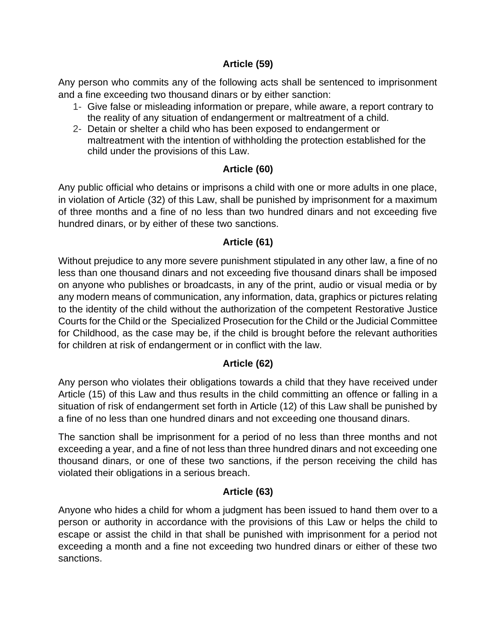### **Article (59)**

Any person who commits any of the following acts shall be sentenced to imprisonment and a fine exceeding two thousand dinars or by either sanction:

- 1- Give false or misleading information or prepare, while aware, a report contrary to the reality of any situation of endangerment or maltreatment of a child.
- 2- Detain or shelter a child who has been exposed to endangerment or maltreatment with the intention of withholding the protection established for the child under the provisions of this Law.

# **Article (60)**

Any public official who detains or imprisons a child with one or more adults in one place, in violation of Article (32) of this Law, shall be punished by imprisonment for a maximum of three months and a fine of no less than two hundred dinars and not exceeding five hundred dinars, or by either of these two sanctions.

### **Article (61)**

Without prejudice to any more severe punishment stipulated in any other law, a fine of no less than one thousand dinars and not exceeding five thousand dinars shall be imposed on anyone who publishes or broadcasts, in any of the print, audio or visual media or by any modern means of communication, any information, data, graphics or pictures relating to the identity of the child without the authorization of the competent Restorative Justice Courts for the Child or the Specialized Prosecution for the Child or the Judicial Committee for Childhood, as the case may be, if the child is brought before the relevant authorities for children at risk of endangerment or in conflict with the law.

# **Article (62)**

Any person who violates their obligations towards a child that they have received under Article (15) of this Law and thus results in the child committing an offence or falling in a situation of risk of endangerment set forth in Article (12) of this Law shall be punished by a fine of no less than one hundred dinars and not exceeding one thousand dinars.

The sanction shall be imprisonment for a period of no less than three months and not exceeding a year, and a fine of not less than three hundred dinars and not exceeding one thousand dinars, or one of these two sanctions, if the person receiving the child has violated their obligations in a serious breach.

# **Article (63)**

Anyone who hides a child for whom a judgment has been issued to hand them over to a person or authority in accordance with the provisions of this Law or helps the child to escape or assist the child in that shall be punished with imprisonment for a period not exceeding a month and a fine not exceeding two hundred dinars or either of these two sanctions.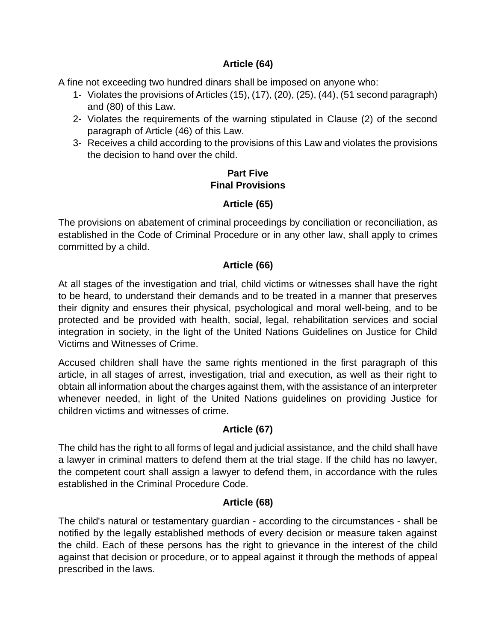### **Article (64)**

A fine not exceeding two hundred dinars shall be imposed on anyone who:

- 1- Violates the provisions of Articles (15), (17), (20), (25), (44), (51 second paragraph) and (80) of this Law.
- 2- Violates the requirements of the warning stipulated in Clause (2) of the second paragraph of Article (46) of this Law.
- 3- Receives a child according to the provisions of this Law and violates the provisions the decision to hand over the child.

### **Part Five Final Provisions**

# **Article (65)**

The provisions on abatement of criminal proceedings by conciliation or reconciliation, as established in the Code of Criminal Procedure or in any other law, shall apply to crimes committed by a child.

### **Article (66)**

At all stages of the investigation and trial, child victims or witnesses shall have the right to be heard, to understand their demands and to be treated in a manner that preserves their dignity and ensures their physical, psychological and moral well-being, and to be protected and be provided with health, social, legal, rehabilitation services and social integration in society, in the light of the United Nations Guidelines on Justice for Child Victims and Witnesses of Crime.

Accused children shall have the same rights mentioned in the first paragraph of this article, in all stages of arrest, investigation, trial and execution, as well as their right to obtain all information about the charges against them, with the assistance of an interpreter whenever needed, in light of the United Nations guidelines on providing Justice for children victims and witnesses of crime.

# **Article (67)**

The child has the right to all forms of legal and judicial assistance, and the child shall have a lawyer in criminal matters to defend them at the trial stage. If the child has no lawyer, the competent court shall assign a lawyer to defend them, in accordance with the rules established in the Criminal Procedure Code.

#### **Article (68)**

The child's natural or testamentary guardian - according to the circumstances - shall be notified by the legally established methods of every decision or measure taken against the child. Each of these persons has the right to grievance in the interest of the child against that decision or procedure, or to appeal against it through the methods of appeal prescribed in the laws.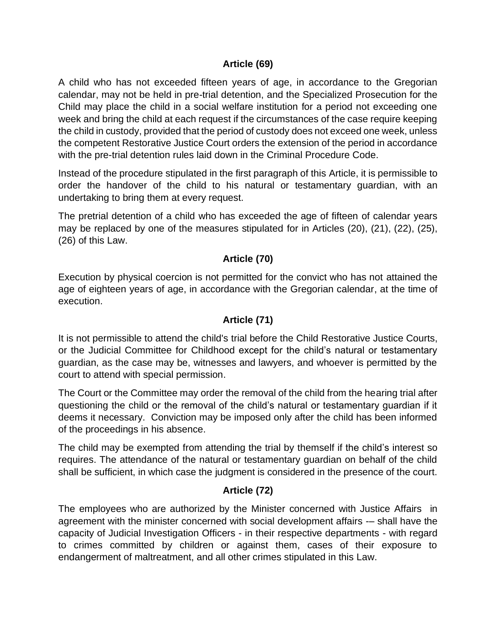#### **Article (69)**

A child who has not exceeded fifteen years of age, in accordance to the Gregorian calendar, may not be held in pre-trial detention, and the Specialized Prosecution for the Child may place the child in a social welfare institution for a period not exceeding one week and bring the child at each request if the circumstances of the case require keeping the child in custody, provided that the period of custody does not exceed one week, unless the competent Restorative Justice Court orders the extension of the period in accordance with the pre-trial detention rules laid down in the Criminal Procedure Code.

Instead of the procedure stipulated in the first paragraph of this Article, it is permissible to order the handover of the child to his natural or testamentary guardian, with an undertaking to bring them at every request.

The pretrial detention of a child who has exceeded the age of fifteen of calendar years may be replaced by one of the measures stipulated for in Articles (20), (21), (22), (25), (26) of this Law.

### **Article (70)**

Execution by physical coercion is not permitted for the convict who has not attained the age of eighteen years of age, in accordance with the Gregorian calendar, at the time of execution.

### **Article (71)**

It is not permissible to attend the child's trial before the Child Restorative Justice Courts, or the Judicial Committee for Childhood except for the child's natural or testamentary guardian, as the case may be, witnesses and lawyers, and whoever is permitted by the court to attend with special permission.

The Court or the Committee may order the removal of the child from the hearing trial after questioning the child or the removal of the child's natural or testamentary guardian if it deems it necessary. Conviction may be imposed only after the child has been informed of the proceedings in his absence.

The child may be exempted from attending the trial by themself if the child's interest so requires. The attendance of the natural or testamentary guardian on behalf of the child shall be sufficient, in which case the judgment is considered in the presence of the court.

#### **Article (72)**

The employees who are authorized by the Minister concerned with Justice Affairs in agreement with the minister concerned with social development affairs -– shall have the capacity of Judicial Investigation Officers - in their respective departments - with regard to crimes committed by children or against them, cases of their exposure to endangerment of maltreatment, and all other crimes stipulated in this Law.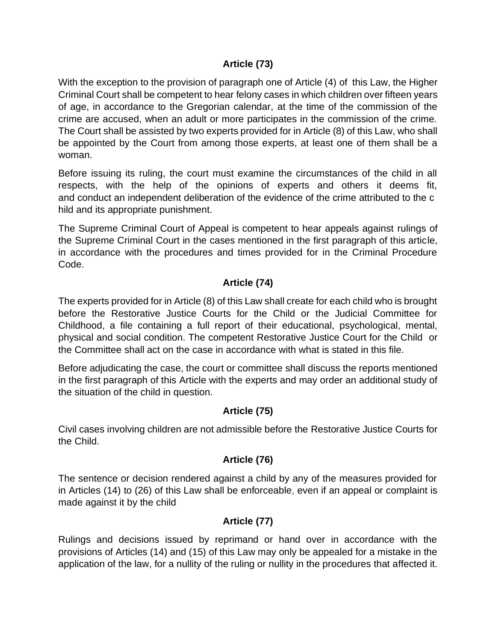### **Article (73)**

With the exception to the provision of paragraph one of Article (4) of this Law, the Higher Criminal Court shall be competent to hear felony cases in which children over fifteen years of age, in accordance to the Gregorian calendar, at the time of the commission of the crime are accused, when an adult or more participates in the commission of the crime. The Court shall be assisted by two experts provided for in Article (8) of this Law, who shall be appointed by the Court from among those experts, at least one of them shall be a woman.

Before issuing its ruling, the court must examine the circumstances of the child in all respects, with the help of the opinions of experts and others it deems fit, and conduct an independent deliberation of the evidence of the crime attributed to the c hild and its appropriate punishment.

The Supreme Criminal Court of Appeal is competent to hear appeals against rulings of the Supreme Criminal Court in the cases mentioned in the first paragraph of this article, in accordance with the procedures and times provided for in the Criminal Procedure Code.

# **Article (74)**

The experts provided for in Article (8) of this Law shall create for each child who is brought before the Restorative Justice Courts for the Child or the Judicial Committee for Childhood, a file containing a full report of their educational, psychological, mental, physical and social condition. The competent Restorative Justice Court for the Child or the Committee shall act on the case in accordance with what is stated in this file.

Before adjudicating the case, the court or committee shall discuss the reports mentioned in the first paragraph of this Article with the experts and may order an additional study of the situation of the child in question.

# **Article (75)**

Civil cases involving children are not admissible before the Restorative Justice Courts for the Child.

# **Article (76)**

The sentence or decision rendered against a child by any of the measures provided for in Articles (14) to (26) of this Law shall be enforceable, even if an appeal or complaint is made against it by the child

# **Article (77)**

Rulings and decisions issued by reprimand or hand over in accordance with the provisions of Articles (14) and (15) of this Law may only be appealed for a mistake in the application of the law, for a nullity of the ruling or nullity in the procedures that affected it.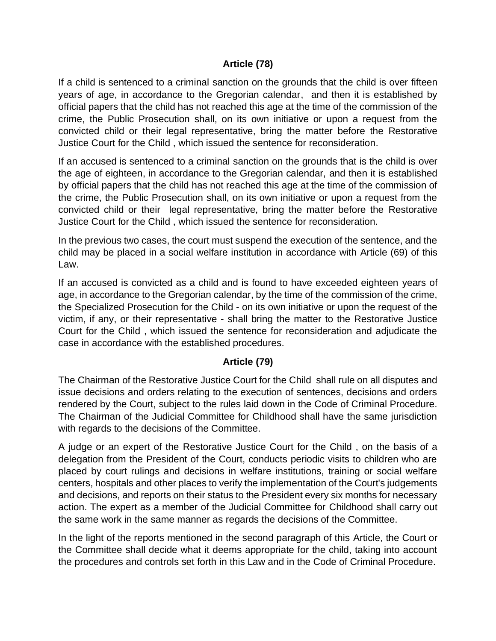#### **Article (78)**

If a child is sentenced to a criminal sanction on the grounds that the child is over fifteen years of age, in accordance to the Gregorian calendar, and then it is established by official papers that the child has not reached this age at the time of the commission of the crime, the Public Prosecution shall, on its own initiative or upon a request from the convicted child or their legal representative, bring the matter before the Restorative Justice Court for the Child , which issued the sentence for reconsideration.

If an accused is sentenced to a criminal sanction on the grounds that is the child is over the age of eighteen, in accordance to the Gregorian calendar, and then it is established by official papers that the child has not reached this age at the time of the commission of the crime, the Public Prosecution shall, on its own initiative or upon a request from the convicted child or their legal representative, bring the matter before the Restorative Justice Court for the Child , which issued the sentence for reconsideration.

In the previous two cases, the court must suspend the execution of the sentence, and the child may be placed in a social welfare institution in accordance with Article (69) of this Law.

If an accused is convicted as a child and is found to have exceeded eighteen years of age, in accordance to the Gregorian calendar, by the time of the commission of the crime, the Specialized Prosecution for the Child - on its own initiative or upon the request of the victim, if any, or their representative - shall bring the matter to the Restorative Justice Court for the Child , which issued the sentence for reconsideration and adjudicate the case in accordance with the established procedures.

#### **Article (79)**

The Chairman of the Restorative Justice Court for the Child shall rule on all disputes and issue decisions and orders relating to the execution of sentences, decisions and orders rendered by the Court, subject to the rules laid down in the Code of Criminal Procedure. The Chairman of the Judicial Committee for Childhood shall have the same jurisdiction with regards to the decisions of the Committee.

A judge or an expert of the Restorative Justice Court for the Child , on the basis of a delegation from the President of the Court, conducts periodic visits to children who are placed by court rulings and decisions in welfare institutions, training or social welfare centers, hospitals and other places to verify the implementation of the Court's judgements and decisions, and reports on their status to the President every six months for necessary action. The expert as a member of the Judicial Committee for Childhood shall carry out the same work in the same manner as regards the decisions of the Committee.

In the light of the reports mentioned in the second paragraph of this Article, the Court or the Committee shall decide what it deems appropriate for the child, taking into account the procedures and controls set forth in this Law and in the Code of Criminal Procedure.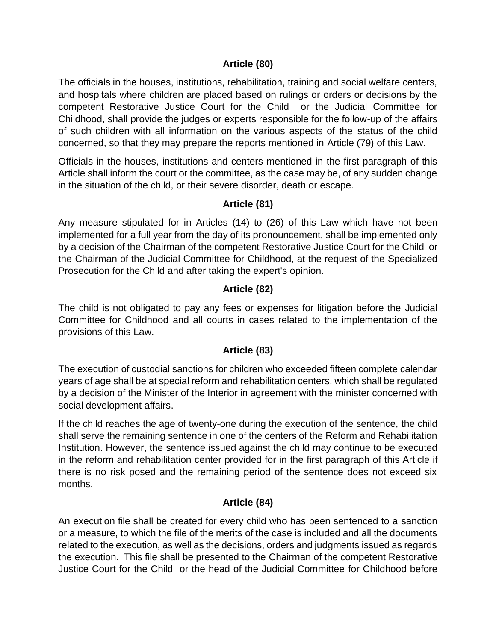#### **Article (80)**

The officials in the houses, institutions, rehabilitation, training and social welfare centers, and hospitals where children are placed based on rulings or orders or decisions by the competent Restorative Justice Court for the Child or the Judicial Committee for Childhood, shall provide the judges or experts responsible for the follow-up of the affairs of such children with all information on the various aspects of the status of the child concerned, so that they may prepare the reports mentioned in Article (79) of this Law.

Officials in the houses, institutions and centers mentioned in the first paragraph of this Article shall inform the court or the committee, as the case may be, of any sudden change in the situation of the child, or their severe disorder, death or escape.

### **Article (81)**

Any measure stipulated for in Articles (14) to (26) of this Law which have not been implemented for a full year from the day of its pronouncement, shall be implemented only by a decision of the Chairman of the competent Restorative Justice Court for the Child or the Chairman of the Judicial Committee for Childhood, at the request of the Specialized Prosecution for the Child and after taking the expert's opinion.

#### **Article (82)**

The child is not obligated to pay any fees or expenses for litigation before the Judicial Committee for Childhood and all courts in cases related to the implementation of the provisions of this Law.

#### **Article (83)**

The execution of custodial sanctions for children who exceeded fifteen complete calendar years of age shall be at special reform and rehabilitation centers, which shall be regulated by a decision of the Minister of the Interior in agreement with the minister concerned with social development affairs.

If the child reaches the age of twenty-one during the execution of the sentence, the child shall serve the remaining sentence in one of the centers of the Reform and Rehabilitation Institution. However, the sentence issued against the child may continue to be executed in the reform and rehabilitation center provided for in the first paragraph of this Article if there is no risk posed and the remaining period of the sentence does not exceed six months.

# **Article (84)**

An execution file shall be created for every child who has been sentenced to a sanction or a measure, to which the file of the merits of the case is included and all the documents related to the execution, as well as the decisions, orders and judgments issued as regards the execution. This file shall be presented to the Chairman of the competent Restorative Justice Court for the Child or the head of the Judicial Committee for Childhood before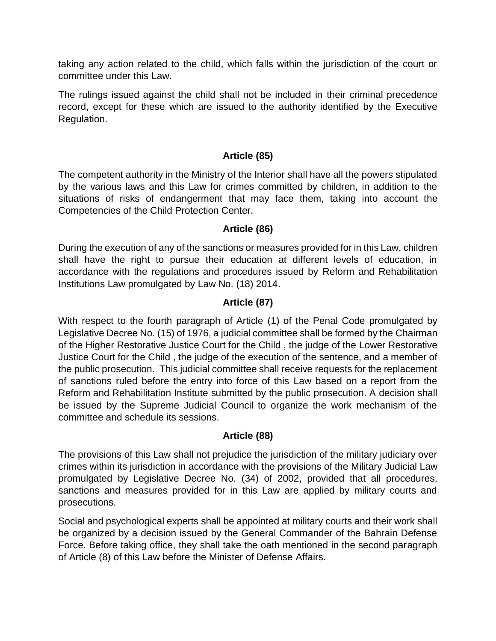taking any action related to the child, which falls within the jurisdiction of the court or committee under this Law.

The rulings issued against the child shall not be included in their criminal precedence record, except for these which are issued to the authority identified by the Executive Regulation.

#### **Article (85)**

The competent authority in the Ministry of the Interior shall have all the powers stipulated by the various laws and this Law for crimes committed by children, in addition to the situations of risks of endangerment that may face them, taking into account the Competencies of the Child Protection Center.

#### **Article (86)**

During the execution of any of the sanctions or measures provided for in this Law, children shall have the right to pursue their education at different levels of education, in accordance with the regulations and procedures issued by Reform and Rehabilitation Institutions Law promulgated by Law No. (18) 2014.

#### **Article (87)**

With respect to the fourth paragraph of Article (1) of the Penal Code promulgated by Legislative Decree No. (15) of 1976, a judicial committee shall be formed by the Chairman of the Higher Restorative Justice Court for the Child , the judge of the Lower Restorative Justice Court for the Child , the judge of the execution of the sentence, and a member of the public prosecution. This judicial committee shall receive requests for the replacement of sanctions ruled before the entry into force of this Law based on a report from the Reform and Rehabilitation Institute submitted by the public prosecution. A decision shall be issued by the Supreme Judicial Council to organize the work mechanism of the committee and schedule its sessions.

#### **Article (88)**

The provisions of this Law shall not prejudice the jurisdiction of the military judiciary over crimes within its jurisdiction in accordance with the provisions of the Military Judicial Law promulgated by Legislative Decree No. (34) of 2002, provided that all procedures, sanctions and measures provided for in this Law are applied by military courts and prosecutions.

Social and psychological experts shall be appointed at military courts and their work shall be organized by a decision issued by the General Commander of the Bahrain Defense Force. Before taking office, they shall take the oath mentioned in the second paragraph of Article (8) of this Law before the Minister of Defense Affairs.